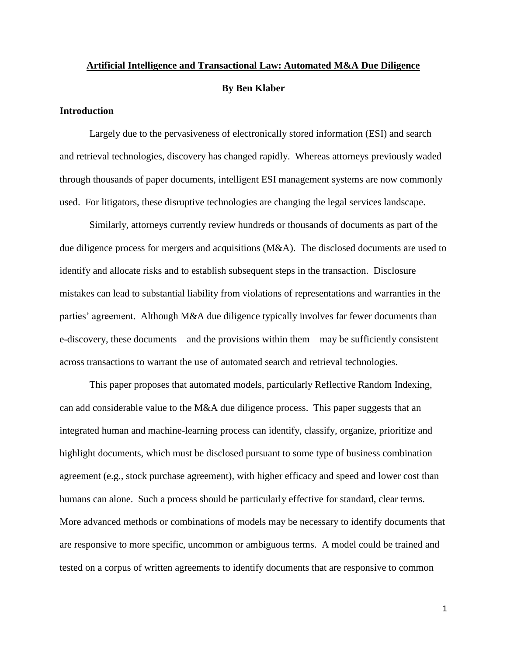# **Artificial Intelligence and Transactional Law: Automated M&A Due Diligence By Ben Klaber**

## **Introduction**

Largely due to the pervasiveness of electronically stored information (ESI) and search and retrieval technologies, discovery has changed rapidly. Whereas attorneys previously waded through thousands of paper documents, intelligent ESI management systems are now commonly used. For litigators, these disruptive technologies are changing the legal services landscape.

Similarly, attorneys currently review hundreds or thousands of documents as part of the due diligence process for mergers and acquisitions (M&A). The disclosed documents are used to identify and allocate risks and to establish subsequent steps in the transaction. Disclosure mistakes can lead to substantial liability from violations of representations and warranties in the parties' agreement. Although M&A due diligence typically involves far fewer documents than e-discovery, these documents – and the provisions within them – may be sufficiently consistent across transactions to warrant the use of automated search and retrieval technologies.

This paper proposes that automated models, particularly Reflective Random Indexing, can add considerable value to the M&A due diligence process. This paper suggests that an integrated human and machine-learning process can identify, classify, organize, prioritize and highlight documents, which must be disclosed pursuant to some type of business combination agreement (e.g., stock purchase agreement), with higher efficacy and speed and lower cost than humans can alone. Such a process should be particularly effective for standard, clear terms. More advanced methods or combinations of models may be necessary to identify documents that are responsive to more specific, uncommon or ambiguous terms. A model could be trained and tested on a corpus of written agreements to identify documents that are responsive to common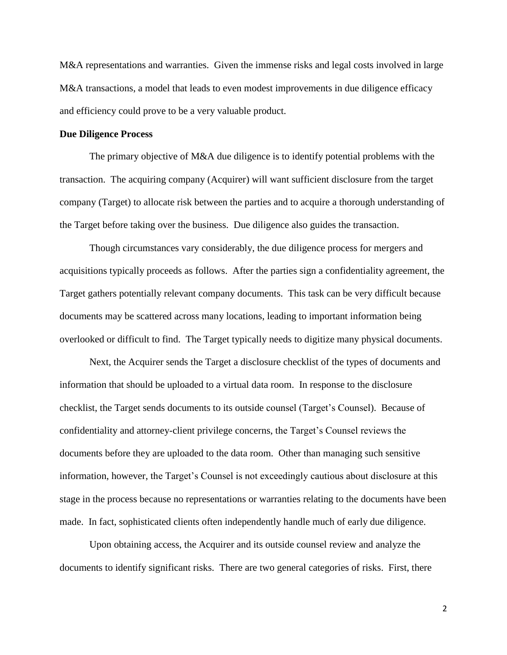M&A representations and warranties. Given the immense risks and legal costs involved in large M&A transactions, a model that leads to even modest improvements in due diligence efficacy and efficiency could prove to be a very valuable product.

#### **Due Diligence Process**

The primary objective of M&A due diligence is to identify potential problems with the transaction. The acquiring company (Acquirer) will want sufficient disclosure from the target company (Target) to allocate risk between the parties and to acquire a thorough understanding of the Target before taking over the business. Due diligence also guides the transaction.

Though circumstances vary considerably, the due diligence process for mergers and acquisitions typically proceeds as follows. After the parties sign a confidentiality agreement, the Target gathers potentially relevant company documents. This task can be very difficult because documents may be scattered across many locations, leading to important information being overlooked or difficult to find. The Target typically needs to digitize many physical documents.

Next, the Acquirer sends the Target a disclosure checklist of the types of documents and information that should be uploaded to a virtual data room. In response to the disclosure checklist, the Target sends documents to its outside counsel (Target's Counsel). Because of confidentiality and attorney-client privilege concerns, the Target's Counsel reviews the documents before they are uploaded to the data room. Other than managing such sensitive information, however, the Target's Counsel is not exceedingly cautious about disclosure at this stage in the process because no representations or warranties relating to the documents have been made. In fact, sophisticated clients often independently handle much of early due diligence.

Upon obtaining access, the Acquirer and its outside counsel review and analyze the documents to identify significant risks. There are two general categories of risks. First, there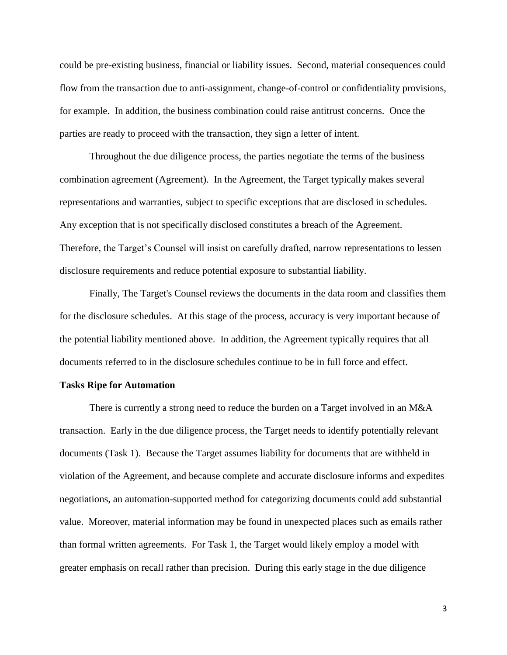could be pre-existing business, financial or liability issues. Second, material consequences could flow from the transaction due to anti-assignment, change-of-control or confidentiality provisions, for example. In addition, the business combination could raise antitrust concerns. Once the parties are ready to proceed with the transaction, they sign a letter of intent.

Throughout the due diligence process, the parties negotiate the terms of the business combination agreement (Agreement). In the Agreement, the Target typically makes several representations and warranties, subject to specific exceptions that are disclosed in schedules. Any exception that is not specifically disclosed constitutes a breach of the Agreement. Therefore, the Target's Counsel will insist on carefully drafted, narrow representations to lessen disclosure requirements and reduce potential exposure to substantial liability.

Finally, The Target's Counsel reviews the documents in the data room and classifies them for the disclosure schedules. At this stage of the process, accuracy is very important because of the potential liability mentioned above. In addition, the Agreement typically requires that all documents referred to in the disclosure schedules continue to be in full force and effect.

#### **Tasks Ripe for Automation**

There is currently a strong need to reduce the burden on a Target involved in an M&A transaction. Early in the due diligence process, the Target needs to identify potentially relevant documents (Task 1). Because the Target assumes liability for documents that are withheld in violation of the Agreement, and because complete and accurate disclosure informs and expedites negotiations, an automation-supported method for categorizing documents could add substantial value. Moreover, material information may be found in unexpected places such as emails rather than formal written agreements. For Task 1, the Target would likely employ a model with greater emphasis on recall rather than precision. During this early stage in the due diligence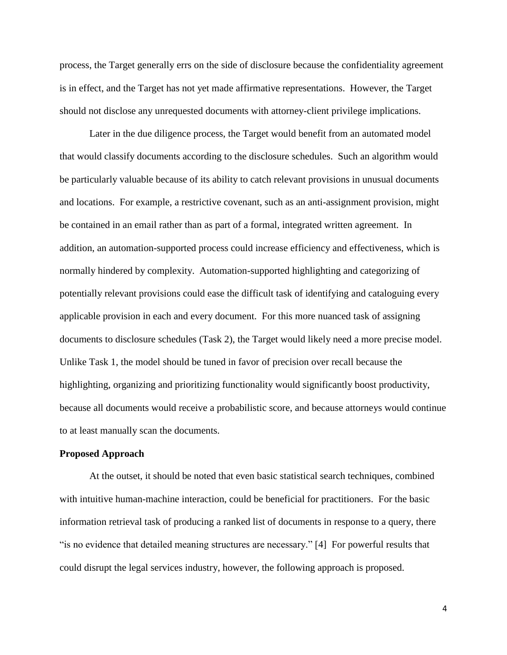process, the Target generally errs on the side of disclosure because the confidentiality agreement is in effect, and the Target has not yet made affirmative representations. However, the Target should not disclose any unrequested documents with attorney-client privilege implications.

Later in the due diligence process, the Target would benefit from an automated model that would classify documents according to the disclosure schedules. Such an algorithm would be particularly valuable because of its ability to catch relevant provisions in unusual documents and locations. For example, a restrictive covenant, such as an anti-assignment provision, might be contained in an email rather than as part of a formal, integrated written agreement. In addition, an automation-supported process could increase efficiency and effectiveness, which is normally hindered by complexity. Automation-supported highlighting and categorizing of potentially relevant provisions could ease the difficult task of identifying and cataloguing every applicable provision in each and every document. For this more nuanced task of assigning documents to disclosure schedules (Task 2), the Target would likely need a more precise model. Unlike Task 1, the model should be tuned in favor of precision over recall because the highlighting, organizing and prioritizing functionality would significantly boost productivity, because all documents would receive a probabilistic score, and because attorneys would continue to at least manually scan the documents.

### **Proposed Approach**

At the outset, it should be noted that even basic statistical search techniques, combined with intuitive human-machine interaction, could be beneficial for practitioners. For the basic information retrieval task of producing a ranked list of documents in response to a query, there "is no evidence that detailed meaning structures are necessary." [4] For powerful results that could disrupt the legal services industry, however, the following approach is proposed.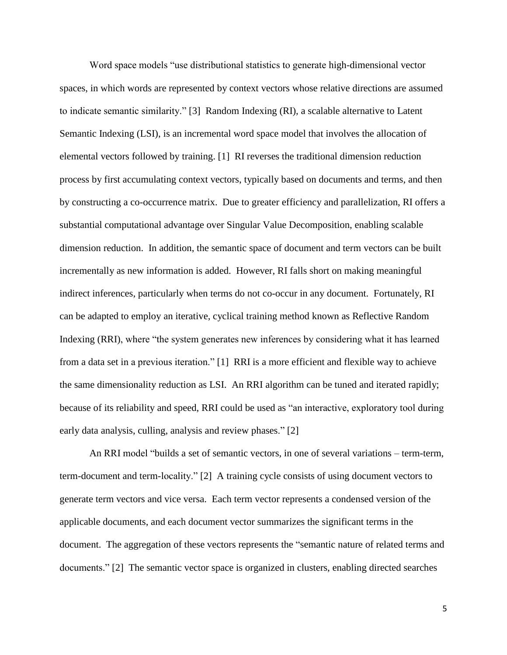Word space models "use distributional statistics to generate high-dimensional vector spaces, in which words are represented by context vectors whose relative directions are assumed to indicate semantic similarity." [3] Random Indexing (RI), a scalable alternative to Latent Semantic Indexing (LSI), is an incremental word space model that involves the allocation of elemental vectors followed by training. [1] RI reverses the traditional dimension reduction process by first accumulating context vectors, typically based on documents and terms, and then by constructing a co-occurrence matrix. Due to greater efficiency and parallelization, RI offers a substantial computational advantage over Singular Value Decomposition, enabling scalable dimension reduction. In addition, the semantic space of document and term vectors can be built incrementally as new information is added. However, RI falls short on making meaningful indirect inferences, particularly when terms do not co-occur in any document. Fortunately, RI can be adapted to employ an iterative, cyclical training method known as Reflective Random Indexing (RRI), where "the system generates new inferences by considering what it has learned from a data set in a previous iteration." [1] RRI is a more efficient and flexible way to achieve the same dimensionality reduction as LSI. An RRI algorithm can be tuned and iterated rapidly; because of its reliability and speed, RRI could be used as "an interactive, exploratory tool during early data analysis, culling, analysis and review phases." [2]

An RRI model "builds a set of semantic vectors, in one of several variations – term-term, term-document and term-locality." [2] A training cycle consists of using document vectors to generate term vectors and vice versa. Each term vector represents a condensed version of the applicable documents, and each document vector summarizes the significant terms in the document. The aggregation of these vectors represents the "semantic nature of related terms and documents." [2] The semantic vector space is organized in clusters, enabling directed searches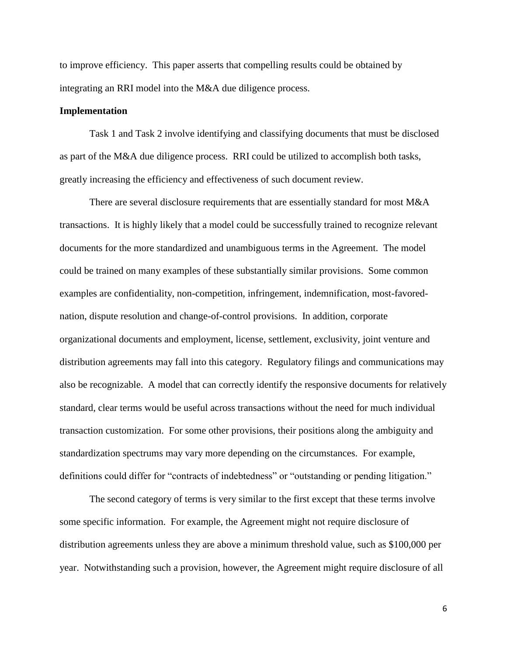to improve efficiency. This paper asserts that compelling results could be obtained by integrating an RRI model into the M&A due diligence process.

## **Implementation**

Task 1 and Task 2 involve identifying and classifying documents that must be disclosed as part of the M&A due diligence process. RRI could be utilized to accomplish both tasks, greatly increasing the efficiency and effectiveness of such document review.

There are several disclosure requirements that are essentially standard for most M&A transactions. It is highly likely that a model could be successfully trained to recognize relevant documents for the more standardized and unambiguous terms in the Agreement. The model could be trained on many examples of these substantially similar provisions. Some common examples are confidentiality, non-competition, infringement, indemnification, most-favorednation, dispute resolution and change-of-control provisions. In addition, corporate organizational documents and employment, license, settlement, exclusivity, joint venture and distribution agreements may fall into this category. Regulatory filings and communications may also be recognizable. A model that can correctly identify the responsive documents for relatively standard, clear terms would be useful across transactions without the need for much individual transaction customization. For some other provisions, their positions along the ambiguity and standardization spectrums may vary more depending on the circumstances. For example, definitions could differ for "contracts of indebtedness" or "outstanding or pending litigation."

The second category of terms is very similar to the first except that these terms involve some specific information. For example, the Agreement might not require disclosure of distribution agreements unless they are above a minimum threshold value, such as \$100,000 per year. Notwithstanding such a provision, however, the Agreement might require disclosure of all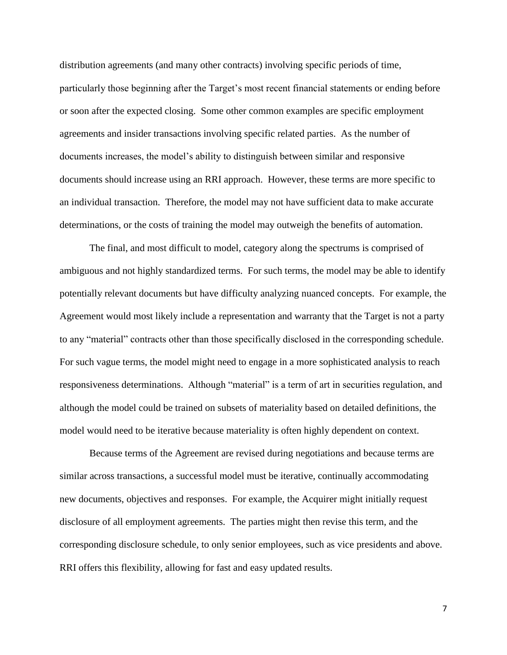distribution agreements (and many other contracts) involving specific periods of time, particularly those beginning after the Target's most recent financial statements or ending before or soon after the expected closing. Some other common examples are specific employment agreements and insider transactions involving specific related parties. As the number of documents increases, the model's ability to distinguish between similar and responsive documents should increase using an RRI approach. However, these terms are more specific to an individual transaction. Therefore, the model may not have sufficient data to make accurate determinations, or the costs of training the model may outweigh the benefits of automation.

The final, and most difficult to model, category along the spectrums is comprised of ambiguous and not highly standardized terms. For such terms, the model may be able to identify potentially relevant documents but have difficulty analyzing nuanced concepts. For example, the Agreement would most likely include a representation and warranty that the Target is not a party to any "material" contracts other than those specifically disclosed in the corresponding schedule. For such vague terms, the model might need to engage in a more sophisticated analysis to reach responsiveness determinations. Although "material" is a term of art in securities regulation, and although the model could be trained on subsets of materiality based on detailed definitions, the model would need to be iterative because materiality is often highly dependent on context.

Because terms of the Agreement are revised during negotiations and because terms are similar across transactions, a successful model must be iterative, continually accommodating new documents, objectives and responses. For example, the Acquirer might initially request disclosure of all employment agreements. The parties might then revise this term, and the corresponding disclosure schedule, to only senior employees, such as vice presidents and above. RRI offers this flexibility, allowing for fast and easy updated results.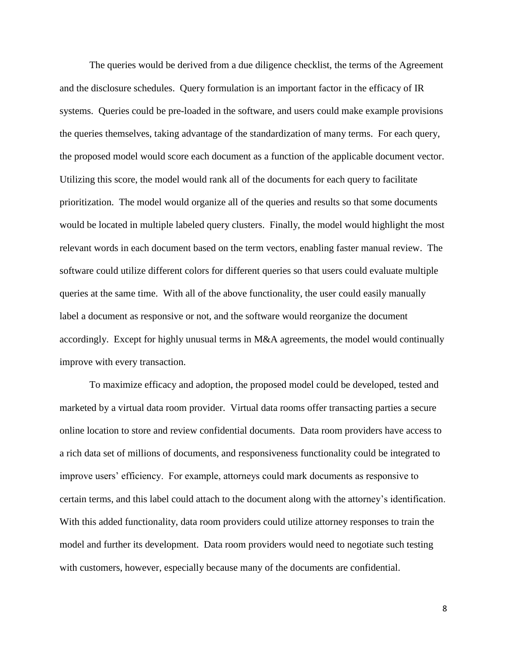The queries would be derived from a due diligence checklist, the terms of the Agreement and the disclosure schedules. Query formulation is an important factor in the efficacy of IR systems. Queries could be pre-loaded in the software, and users could make example provisions the queries themselves, taking advantage of the standardization of many terms. For each query, the proposed model would score each document as a function of the applicable document vector. Utilizing this score, the model would rank all of the documents for each query to facilitate prioritization. The model would organize all of the queries and results so that some documents would be located in multiple labeled query clusters. Finally, the model would highlight the most relevant words in each document based on the term vectors, enabling faster manual review. The software could utilize different colors for different queries so that users could evaluate multiple queries at the same time. With all of the above functionality, the user could easily manually label a document as responsive or not, and the software would reorganize the document accordingly. Except for highly unusual terms in M&A agreements, the model would continually improve with every transaction.

To maximize efficacy and adoption, the proposed model could be developed, tested and marketed by a virtual data room provider. Virtual data rooms offer transacting parties a secure online location to store and review confidential documents. Data room providers have access to a rich data set of millions of documents, and responsiveness functionality could be integrated to improve users' efficiency. For example, attorneys could mark documents as responsive to certain terms, and this label could attach to the document along with the attorney's identification. With this added functionality, data room providers could utilize attorney responses to train the model and further its development. Data room providers would need to negotiate such testing with customers, however, especially because many of the documents are confidential.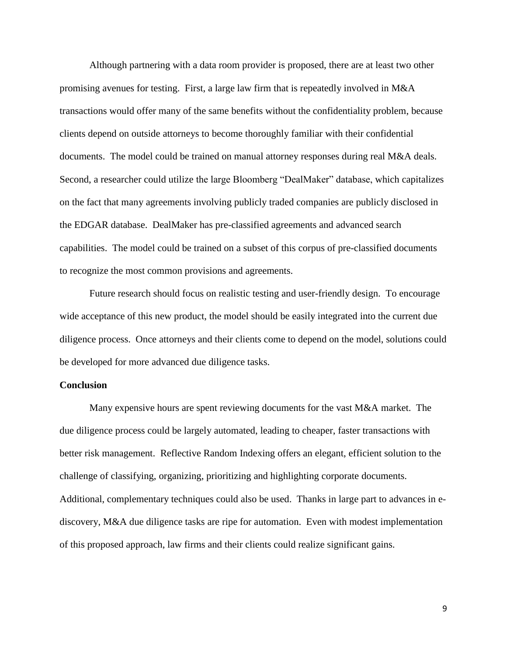Although partnering with a data room provider is proposed, there are at least two other promising avenues for testing. First, a large law firm that is repeatedly involved in M&A transactions would offer many of the same benefits without the confidentiality problem, because clients depend on outside attorneys to become thoroughly familiar with their confidential documents. The model could be trained on manual attorney responses during real M&A deals. Second, a researcher could utilize the large Bloomberg "DealMaker" database, which capitalizes on the fact that many agreements involving publicly traded companies are publicly disclosed in the EDGAR database. DealMaker has pre-classified agreements and advanced search capabilities. The model could be trained on a subset of this corpus of pre-classified documents to recognize the most common provisions and agreements.

Future research should focus on realistic testing and user-friendly design. To encourage wide acceptance of this new product, the model should be easily integrated into the current due diligence process. Once attorneys and their clients come to depend on the model, solutions could be developed for more advanced due diligence tasks.

## **Conclusion**

Many expensive hours are spent reviewing documents for the vast M&A market. The due diligence process could be largely automated, leading to cheaper, faster transactions with better risk management. Reflective Random Indexing offers an elegant, efficient solution to the challenge of classifying, organizing, prioritizing and highlighting corporate documents. Additional, complementary techniques could also be used. Thanks in large part to advances in ediscovery, M&A due diligence tasks are ripe for automation. Even with modest implementation of this proposed approach, law firms and their clients could realize significant gains.